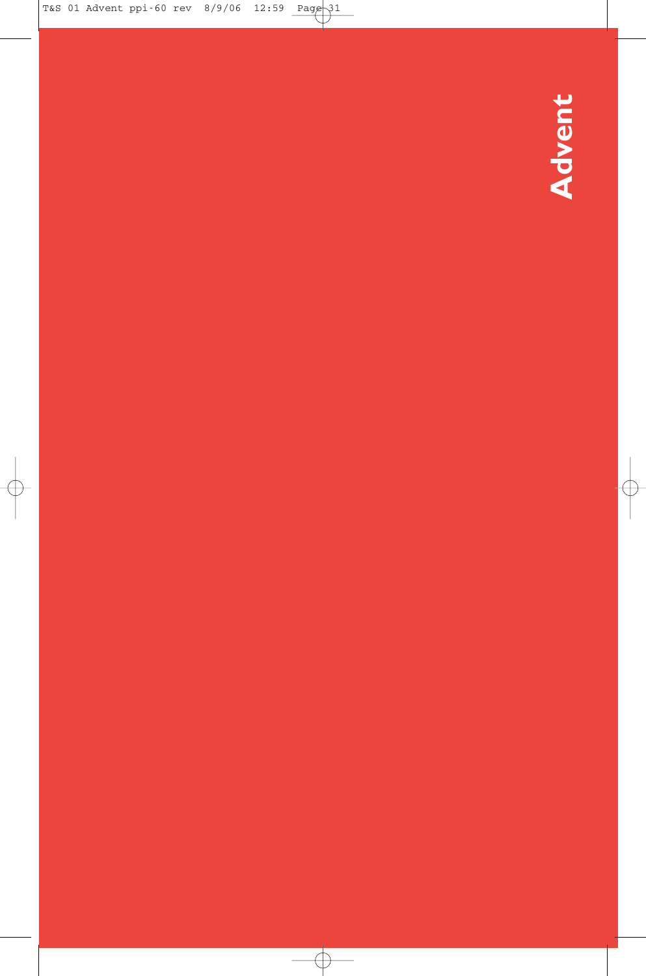**Advent**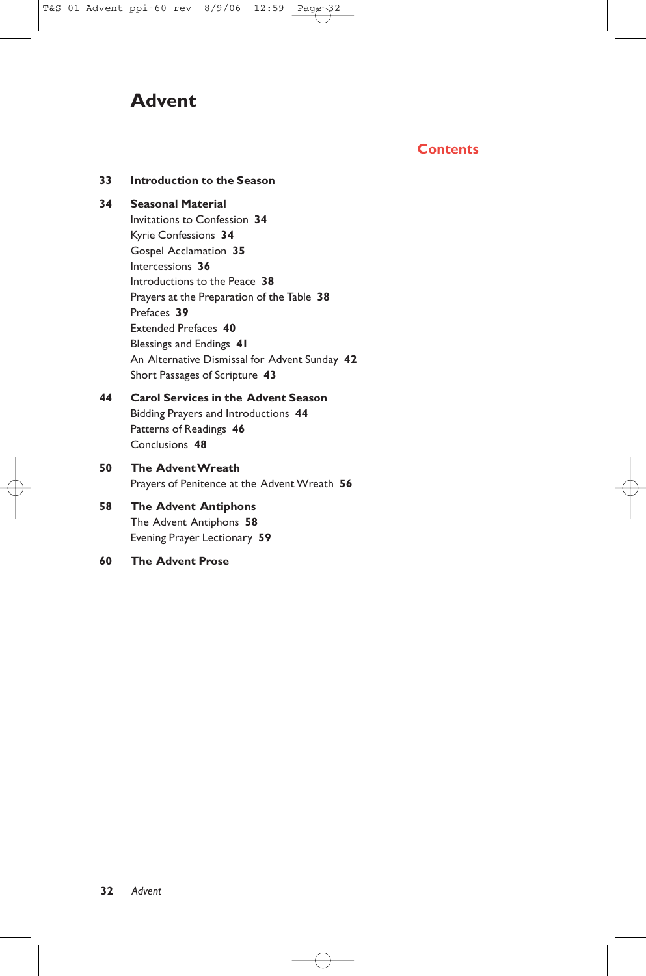# **Advent**

# **Contents**

## **33 Introduction to the Season**

### **34 Seasonal Material**

Invitations to Confession **34** Kyrie Confessions **34** Gospel Acclamation **35** Intercessions **36** Introductions to the Peace **38** Prayers at the Preparation of the Table **38** Prefaces **39** Extended Prefaces **40** Blessings and Endings **41** An Alternative Dismissal for Advent Sunday **42** Short Passages of Scripture **43**

# **44 Carol Services in the Advent Season** Bidding Prayers and Introductions **44** Patterns of Readings **46** Conclusions **48**

**50 The Advent Wreath** Prayers of Penitence at the Advent Wreath **56**

# **58 The Advent Antiphons** The Advent Antiphons **58** Evening Prayer Lectionary **59**

**60 The Advent Prose**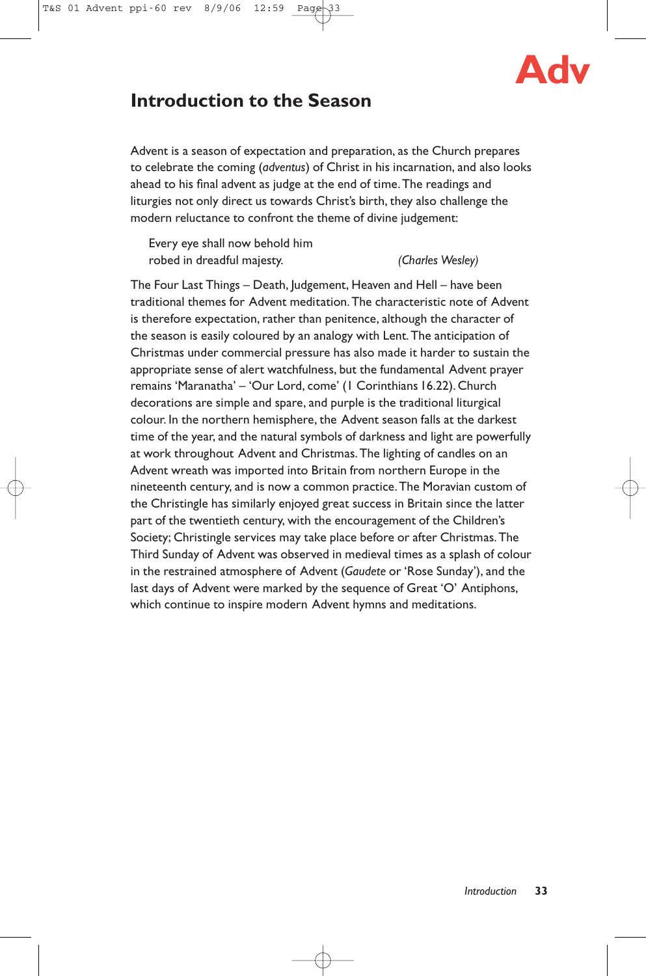

# **Introduction to the Season**

Advent is a season of expectation and preparation, as the Church prepares to celebrate the coming (*adventus*) of Christ in his incarnation, and also looks ahead to his final advent as judge at the end of time.The readings and liturgies not only direct us towards Christ's birth, they also challenge the modern reluctance to confront the theme of divine judgement:

Every eye shall now behold him robed in dreadful majesty. *(Charles Wesley)*

The Four Last Things – Death, Judgement, Heaven and Hell – have been traditional themes for Advent meditation.The characteristic note of Advent is therefore expectation, rather than penitence, although the character of the season is easily coloured by an analogy with Lent.The anticipation of Christmas under commercial pressure has also made it harder to sustain the appropriate sense of alert watchfulness, but the fundamental Advent prayer remains 'Maranatha' – 'Our Lord, come' (1 Corinthians 16.22). Church decorations are simple and spare, and purple is the traditional liturgical colour. In the northern hemisphere, the Advent season falls at the darkest time of the year, and the natural symbols of darkness and light are powerfully at work throughout Advent and Christmas.The lighting of candles on an Advent wreath was imported into Britain from northern Europe in the nineteenth century, and is now a common practice.The Moravian custom of the Christingle has similarly enjoyed great success in Britain since the latter part of the twentieth century, with the encouragement of the Children's Society; Christingle services may take place before or after Christmas.The Third Sunday of Advent was observed in medieval times as a splash of colour in the restrained atmosphere of Advent (*Gaudete* or 'Rose Sunday'), and the last days of Advent were marked by the sequence of Great 'O' Antiphons, which continue to inspire modern Advent hymns and meditations.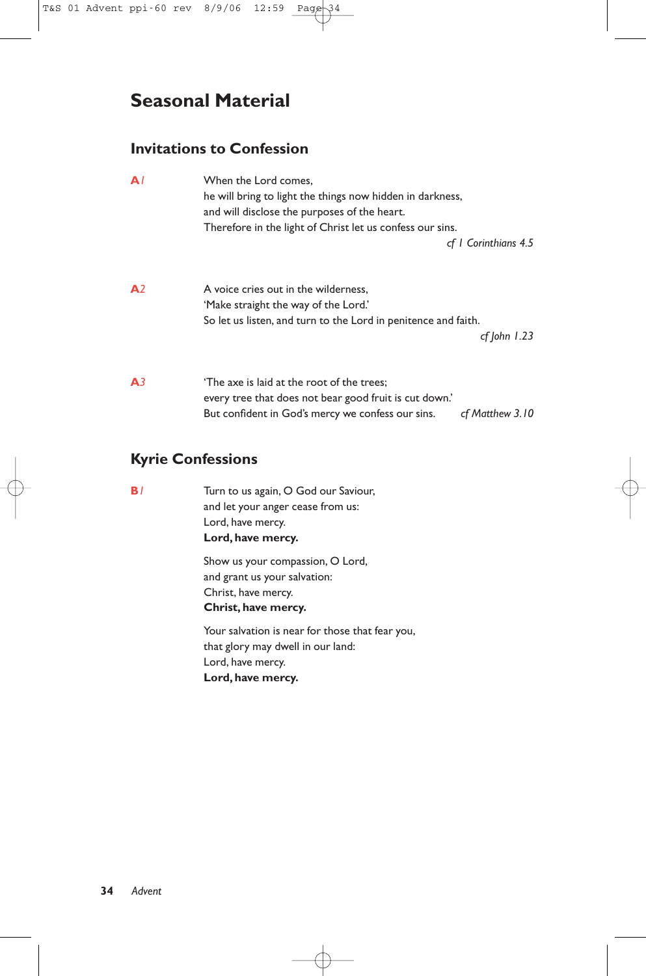# **Seasonal Material**

# **Invitations to Confession**

| A              | When the Lord comes,<br>he will bring to light the things now hidden in darkness,<br>and will disclose the purposes of the heart.<br>Therefore in the light of Christ let us confess our sins. |
|----------------|------------------------------------------------------------------------------------------------------------------------------------------------------------------------------------------------|
|                | cf I Corinthians 4.5                                                                                                                                                                           |
| A <sub>2</sub> | A voice cries out in the wilderness.<br>'Make straight the way of the Lord.'<br>So let us listen, and turn to the Lord in penitence and faith.<br>$cf$ John 1.23                               |
| A <sub>3</sub> | 'The axe is laid at the root of the trees:<br>every tree that does not bear good fruit is cut down.<br>But confident in God's mercy we confess our sins.<br>cf Matthew 3.10                    |

# **Kyrie Confessions**

**B**<sup>1</sup> Turn to us again, O God our Saviour, and let your anger cease from us: Lord, have mercy. **Lord, have mercy.** Show us your compassion, O Lord, and grant us your salvation: Christ, have mercy.

**Christ, have mercy.**

Your salvation is near for those that fear you, that glory may dwell in our land: Lord, have mercy. **Lord, have mercy.**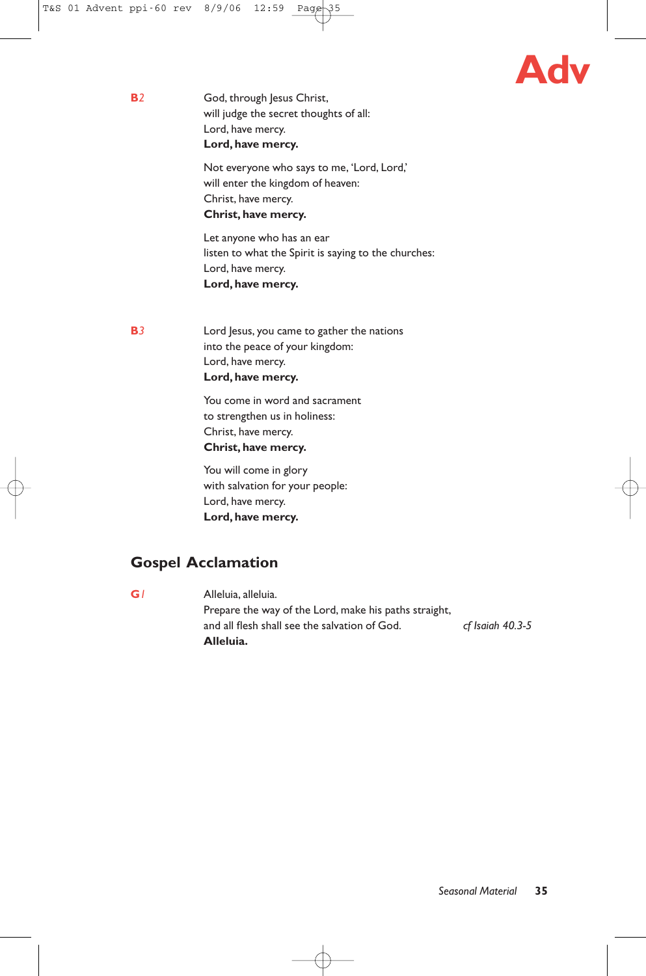

**B**<sup>2</sup> God, through Jesus Christ, will judge the secret thoughts of all: Lord, have mercy. **Lord, have mercy.**

> Not everyone who says to me, 'Lord, Lord,' will enter the kingdom of heaven: Christ, have mercy. **Christ, have mercy.**

Let anyone who has an ear listen to what the Spirit is saying to the churches: Lord, have mercy. **Lord, have mercy.**

**B**<sup>3</sup> Lord Jesus, you came to gather the nations into the peace of your kingdom: Lord, have mercy. **Lord, have mercy.**

> You come in word and sacrament to strengthen us in holiness: Christ, have mercy. **Christ, have mercy.**

You will come in glory with salvation for your people: Lord, have mercy. **Lord, have mercy.**

# **Gospel Acclamation**

**G***1* Alleluia, alleluia. Prepare the way of the Lord, make his paths straight, and all flesh shall see the salvation of God. *cf Isaiah 40.3-5* **Alleluia.**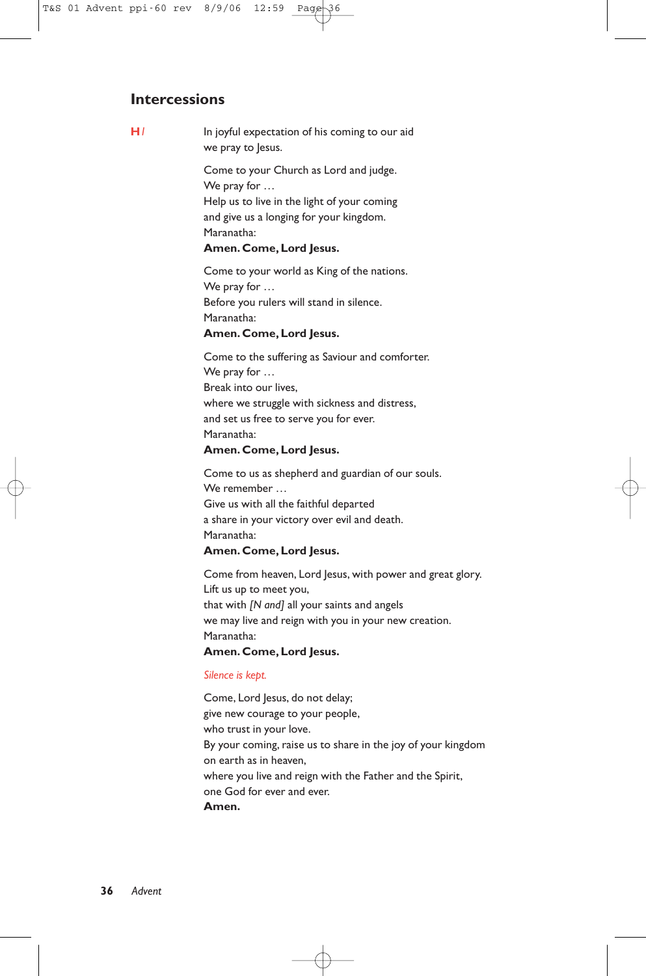# **Intercessions**

**H**<sup>1</sup> In joyful expectation of his coming to our aid we pray to Jesus.

> Come to your Church as Lord and judge. We pray for … Help us to live in the light of your coming and give us a longing for your kingdom. Maranatha:

# **Amen. Come, Lord Jesus.**

Come to your world as King of the nations. We pray for … Before you rulers will stand in silence. Maranatha: **Amen. Come, Lord Jesus.**

Come to the suffering as Saviour and comforter. We pray for … Break into our lives, where we struggle with sickness and distress, and set us free to serve you for ever. Maranatha:

# **Amen. Come, Lord Jesus.**

Come to us as shepherd and guardian of our souls. We remember … Give us with all the faithful departed a share in your victory over evil and death. Maranatha:

# **Amen. Come, Lord Jesus.**

Come from heaven, Lord Jesus, with power and great glory. Lift us up to meet you, that with *[N and]* all your saints and angels we may live and reign with you in your new creation. Maranatha: **Amen. Come, Lord Jesus.**

# *Silence is kept.*

Come, Lord Jesus, do not delay; give new courage to your people, who trust in your love. By your coming, raise us to share in the joy of your kingdom on earth as in heaven, where you live and reign with the Father and the Spirit, one God for ever and ever. **Amen.**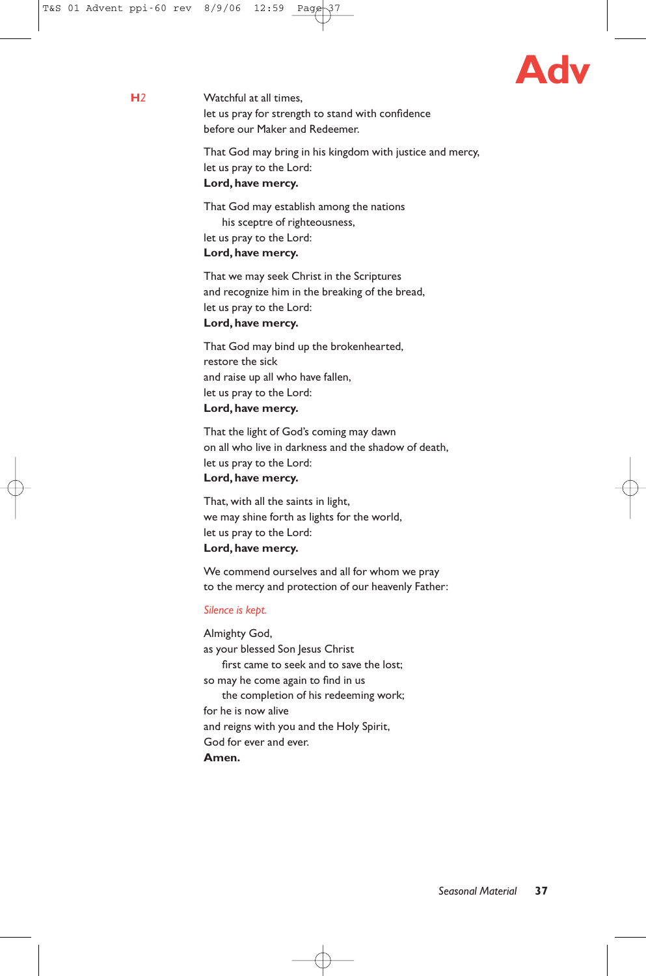

**H***2* Watchful at all times, let us pray for strength to stand with confidence before our Maker and Redeemer.

> That God may bring in his kingdom with justice and mercy, let us pray to the Lord: **Lord, have mercy.**

That God may establish among the nations his sceptre of righteousness, let us pray to the Lord: **Lord, have mercy.**

That we may seek Christ in the Scriptures and recognize him in the breaking of the bread, let us pray to the Lord: **Lord, have mercy.**

That God may bind up the brokenhearted, restore the sick and raise up all who have fallen, let us pray to the Lord: **Lord, have mercy.**

That the light of God's coming may dawn on all who live in darkness and the shadow of death, let us pray to the Lord: **Lord, have mercy.**

That, with all the saints in light, we may shine forth as lights for the world, let us pray to the Lord: **Lord, have mercy.**

We commend ourselves and all for whom we pray to the mercy and protection of our heavenly Father:

## *Silence is kept.*

Almighty God, as your blessed Son Jesus Christ first came to seek and to save the lost; so may he come again to find in us the completion of his redeeming work; for he is now alive and reigns with you and the Holy Spirit, God for ever and ever. **Amen.**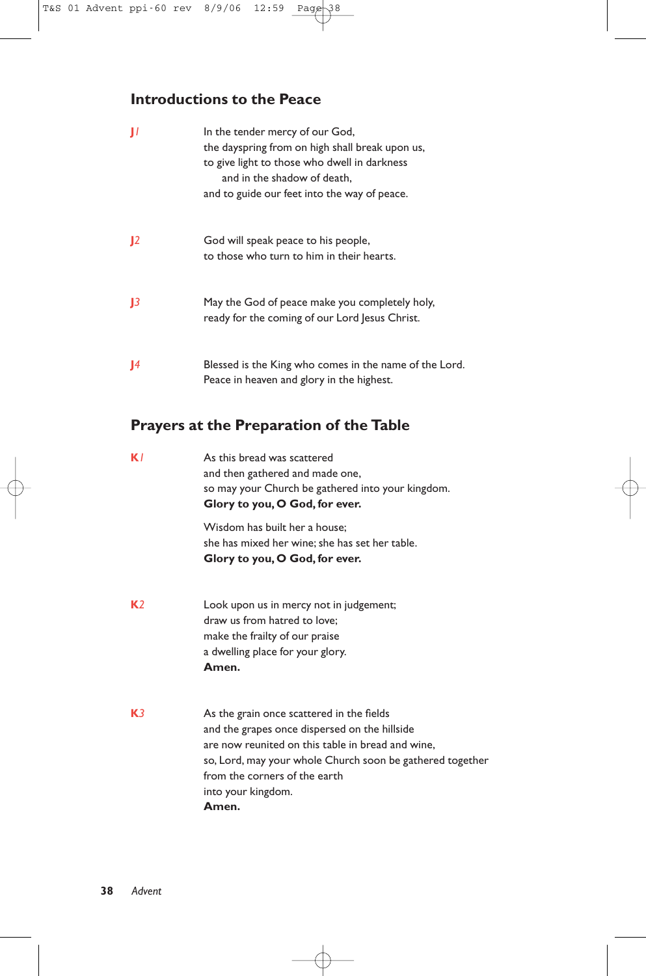# **Introductions to the Peace**

|    | In the tender mercy of our God,<br>the dayspring from on high shall break upon us,<br>to give light to those who dwell in darkness<br>and in the shadow of death.<br>and to guide our feet into the way of peace. |
|----|-------------------------------------------------------------------------------------------------------------------------------------------------------------------------------------------------------------------|
| 12 | God will speak peace to his people,<br>to those who turn to him in their hearts.                                                                                                                                  |
| 13 | May the God of peace make you completely holy,<br>ready for the coming of our Lord Jesus Christ.                                                                                                                  |
| 14 | Blessed is the King who comes in the name of the Lord.<br>Peace in heaven and glory in the highest.                                                                                                               |

# **Prayers at the Preparation of the Table**

| КI             | As this bread was scattered<br>and then gathered and made one,<br>so may your Church be gathered into your kingdom.<br>Glory to you, O God, for ever.                                                                                         |  |  |
|----------------|-----------------------------------------------------------------------------------------------------------------------------------------------------------------------------------------------------------------------------------------------|--|--|
|                | Wisdom has built her a house:<br>she has mixed her wine; she has set her table.<br>Glory to you, O God, for ever.                                                                                                                             |  |  |
| K <sub>2</sub> | Look upon us in mercy not in judgement;<br>draw us from hatred to love:<br>make the frailty of our praise<br>a dwelling place for your glory.<br>Amen.                                                                                        |  |  |
| K <sub>3</sub> | As the grain once scattered in the fields<br>and the grapes once dispersed on the hillside<br>are now reunited on this table in bread and wine.<br>so, Lord, may your whole Church soon be gathered together<br>from the corners of the earth |  |  |

into your kingdom.

**Amen.**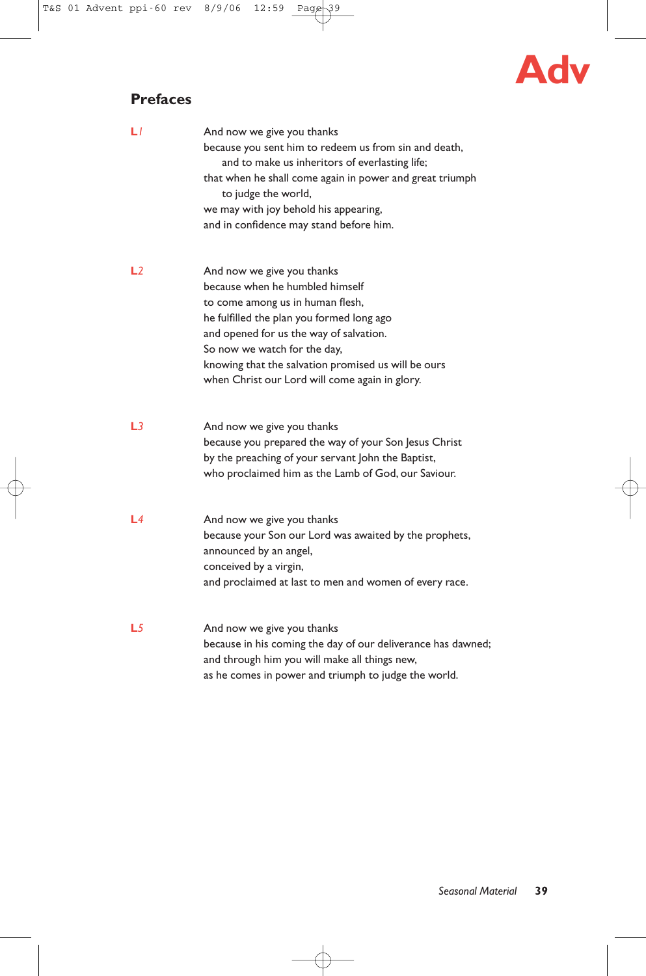

# **Prefaces**

| LI             | And now we give you thanks<br>because you sent him to redeem us from sin and death,<br>and to make us inheritors of everlasting life;<br>that when he shall come again in power and great triumph<br>to judge the world,<br>we may with joy behold his appearing,<br>and in confidence may stand before him.                       |
|----------------|------------------------------------------------------------------------------------------------------------------------------------------------------------------------------------------------------------------------------------------------------------------------------------------------------------------------------------|
| L <sub>2</sub> | And now we give you thanks<br>because when he humbled himself<br>to come among us in human flesh,<br>he fulfilled the plan you formed long ago<br>and opened for us the way of salvation.<br>So now we watch for the day,<br>knowing that the salvation promised us will be ours<br>when Christ our Lord will come again in glory. |
| L3             | And now we give you thanks<br>because you prepared the way of your Son Jesus Christ<br>by the preaching of your servant John the Baptist,<br>who proclaimed him as the Lamb of God, our Saviour.                                                                                                                                   |
| L4             | And now we give you thanks<br>because your Son our Lord was awaited by the prophets,<br>announced by an angel,<br>conceived by a virgin,<br>and proclaimed at last to men and women of every race.                                                                                                                                 |
| L5             | And now we give you thanks<br>because in his coming the day of our deliverance has dawned;<br>and through him you will make all things new,<br>as he comes in power and triumph to judge the world.                                                                                                                                |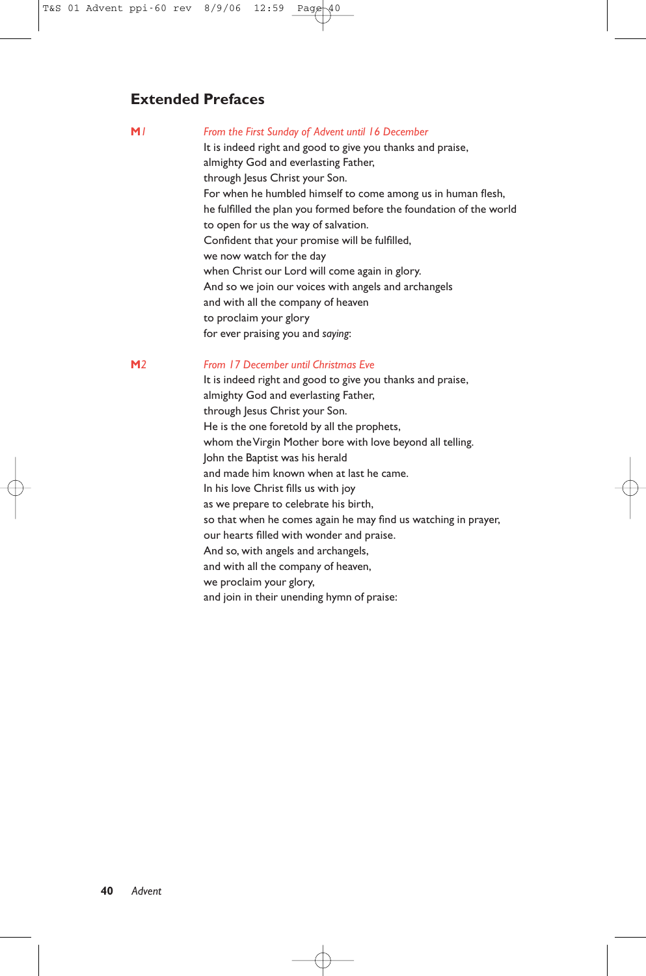# **Extended Prefaces**

# **M***1 From the First Sunday of Advent until 16 December* It is indeed right and good to give you thanks and praise, almighty God and everlasting Father, through Jesus Christ your Son. For when he humbled himself to come among us in human flesh, he fulfilled the plan you formed before the foundation of the world to open for us the way of salvation. Confident that your promise will be fulfilled, we now watch for the day when Christ our Lord will come again in glory. And so we join our voices with angels and archangels and with all the company of heaven to proclaim your glory for ever praising you and *saying*:

### **M***2 From 17 December until Christmas Eve*

It is indeed right and good to give you thanks and praise, almighty God and everlasting Father, through Jesus Christ your Son. He is the one foretold by all the prophets, whom the Virgin Mother bore with love beyond all telling. John the Baptist was his herald and made him known when at last he came. In his love Christ fills us with joy as we prepare to celebrate his birth, so that when he comes again he may find us watching in prayer, our hearts filled with wonder and praise. And so, with angels and archangels, and with all the company of heaven, we proclaim your glory, and join in their unending hymn of praise: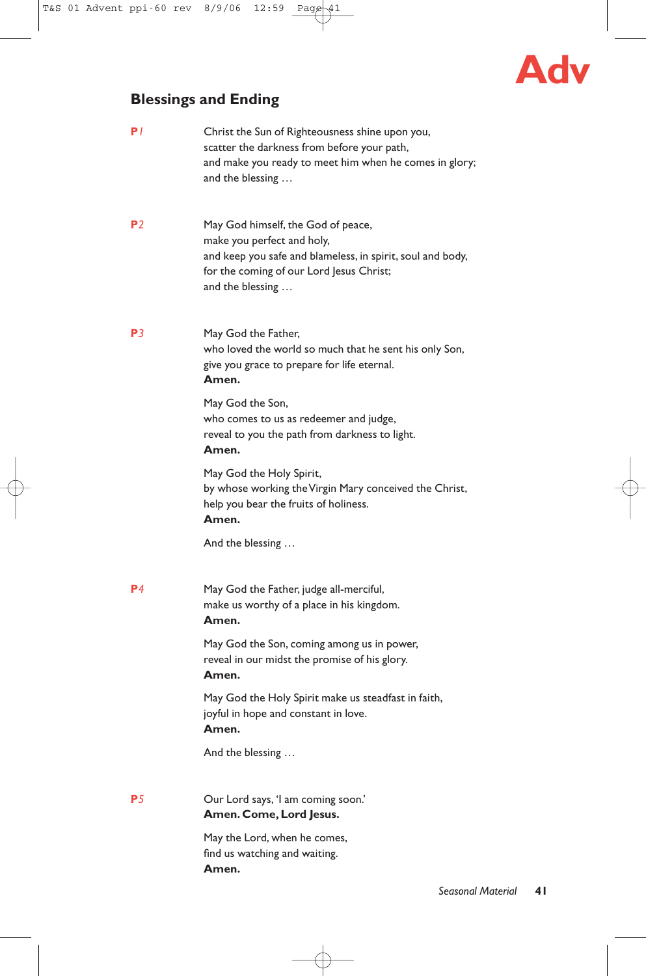

# **Blessings and Ending**

| P۱ | Christ the Sun of Righteousness shine upon you,<br>scatter the darkness from before your path,<br>and make you ready to meet him when he comes in glory;<br>and the blessing                   |
|----|------------------------------------------------------------------------------------------------------------------------------------------------------------------------------------------------|
| P2 | May God himself, the God of peace,<br>make you perfect and holy,<br>and keep you safe and blameless, in spirit, soul and body,<br>for the coming of our Lord Jesus Christ;<br>and the blessing |
| P3 | May God the Father,<br>who loved the world so much that he sent his only Son,<br>give you grace to prepare for life eternal.<br>Amen.                                                          |
|    | May God the Son,<br>who comes to us as redeemer and judge,<br>reveal to you the path from darkness to light.<br>Amen.                                                                          |
|    | May God the Holy Spirit,<br>by whose working the Virgin Mary conceived the Christ,<br>help you bear the fruits of holiness.<br>Amen.                                                           |
|    | And the blessing                                                                                                                                                                               |
| P4 | May God the Father, judge all-merciful,<br>make us worthy of a place in his kingdom.<br>Amen.                                                                                                  |
|    | May God the Son, coming among us in power,<br>reveal in our midst the promise of his glory.<br>Amen.                                                                                           |
|    | May God the Holy Spirit make us steadfast in faith,<br>joyful in hope and constant in love.<br>Amen.                                                                                           |
|    | And the blessing                                                                                                                                                                               |
| Р5 | Our Lord says, 'I am coming soon.'<br>Amen. Come, Lord Jesus.                                                                                                                                  |
|    | May the Lord, when he comes,<br>find us watching and waiting.<br>Amen.                                                                                                                         |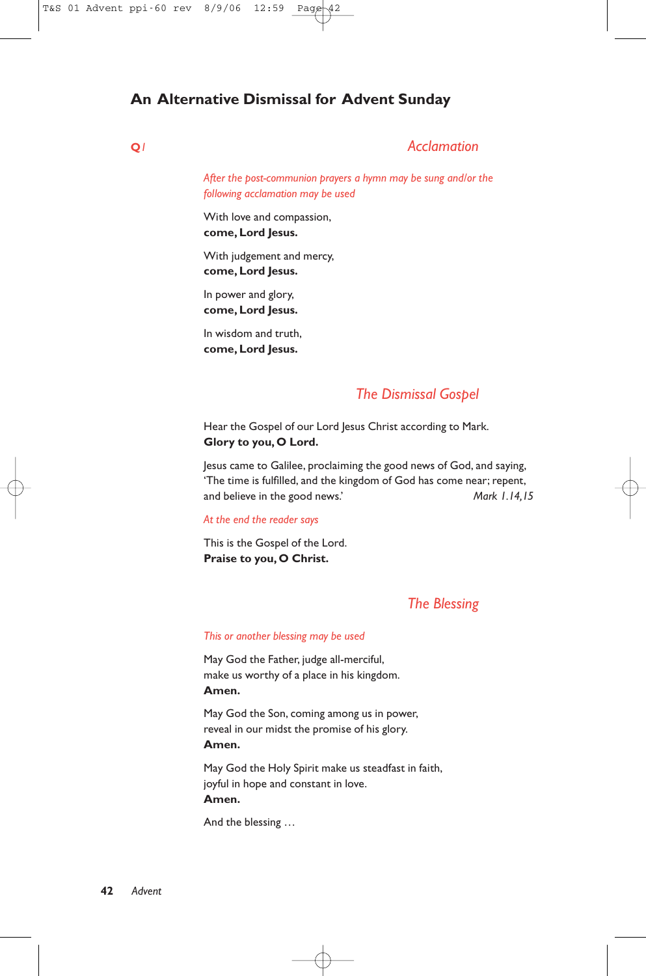# **An Alternative Dismissal for Advent Sunday**

# **Q***1 Acclamation*

*After the post-communion prayers a hymn may be sung and/or the following acclamation may be used*

With love and compassion, **come, Lord Jesus.**

With judgement and mercy, **come, Lord Jesus.**

In power and glory, **come, Lord Jesus.**

In wisdom and truth, **come, Lord Jesus.**

# *The Dismissal Gospel*

Hear the Gospel of our Lord Jesus Christ according to Mark. **Glory to you, O Lord.**

Jesus came to Galilee, proclaiming the good news of God, and saying, 'The time is fulfilled, and the kingdom of God has come near; repent, and believe in the good news.' *Mark 1.14,15*

#### *At the end the reader says*

This is the Gospel of the Lord. **Praise to you, O Christ.**

## *The Blessing*

#### *This or another blessing may be used*

May God the Father, judge all-merciful, make us worthy of a place in his kingdom. **Amen.**

May God the Son, coming among us in power, reveal in our midst the promise of his glory. **Amen.**

May God the Holy Spirit make us steadfast in faith, joyful in hope and constant in love. **Amen.**

And the blessing …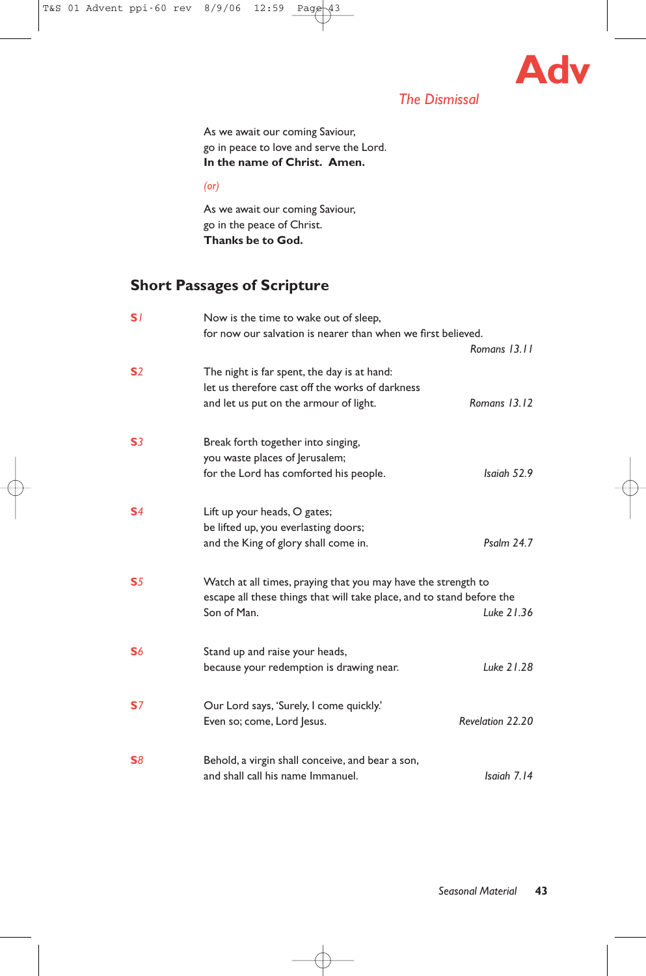

*The Dismissal*

As we await our coming Saviour, go in peace to love and serve the Lord. **In the name of Christ. Amen.**

*(or)*

As we await our coming Saviour, go in the peace of Christ. **Thanks be to God.**

# **Short Passages of Scripture**

| S/             | Now is the time to wake out of sleep,                                 |                  |
|----------------|-----------------------------------------------------------------------|------------------|
|                | for now our salvation is nearer than when we first believed.          |                  |
|                |                                                                       | Romans 13.11     |
| S <sub>2</sub> | The night is far spent, the day is at hand:                           |                  |
|                | let us therefore cast off the works of darkness                       |                  |
|                | and let us put on the armour of light.                                | Romans 13.12     |
| S <sub>3</sub> | Break forth together into singing,                                    |                  |
|                | you waste places of Jerusalem;                                        |                  |
|                | for the Lord has comforted his people.                                | Isaiah 52.9      |
| S <sub>4</sub> | Lift up your heads, O gates;                                          |                  |
|                | be lifted up, you everlasting doors;                                  |                  |
|                | and the King of glory shall come in.                                  | Psalm $24.7$     |
|                |                                                                       |                  |
| S <sub>5</sub> | Watch at all times, praying that you may have the strength to         |                  |
|                | escape all these things that will take place, and to stand before the |                  |
|                | Son of Man.                                                           | Luke 21.36       |
| S6             | Stand up and raise your heads,                                        |                  |
|                | because your redemption is drawing near.                              | Luke 21.28       |
|                |                                                                       |                  |
| <b>S</b> 7     | Our Lord says, 'Surely, I come quickly.'                              |                  |
|                | Even so; come, Lord Jesus.                                            | Revelation 22.20 |
| S <sub>8</sub> | Behold, a virgin shall conceive, and bear a son,                      |                  |
|                | and shall call his name Immanuel.                                     | Isaiah 7.14      |
|                |                                                                       |                  |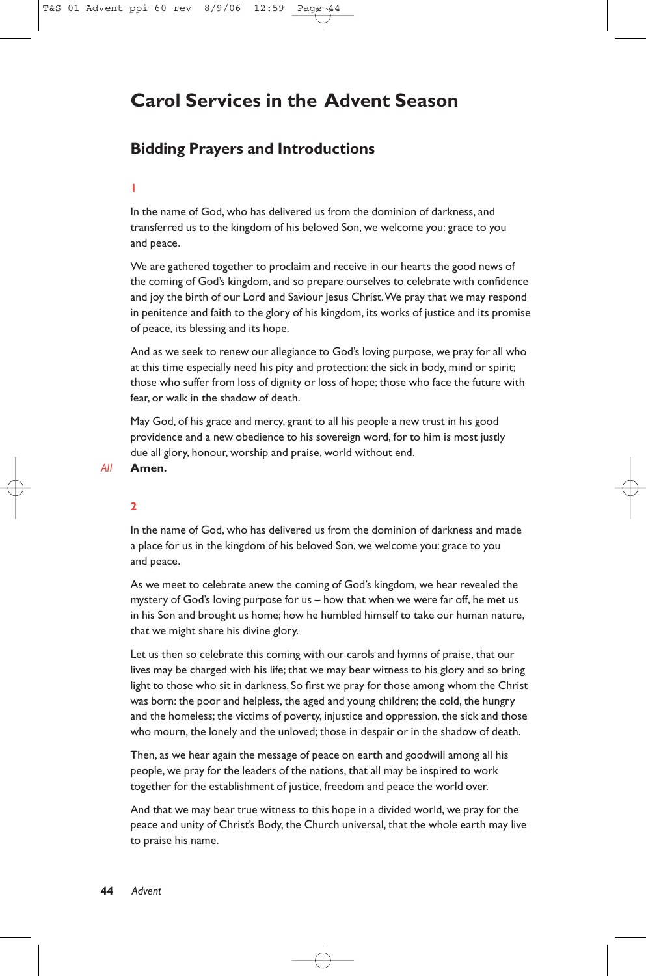# **Carol Services in the Advent Season**

# **Bidding Prayers and Introductions**

#### **1**

In the name of God, who has delivered us from the dominion of darkness, and transferred us to the kingdom of his beloved Son, we welcome you: grace to you and peace.

We are gathered together to proclaim and receive in our hearts the good news of the coming of God's kingdom, and so prepare ourselves to celebrate with confidence and joy the birth of our Lord and Saviour Jesus Christ. We pray that we may respond in penitence and faith to the glory of his kingdom, its works of justice and its promise of peace, its blessing and its hope.

And as we seek to renew our allegiance to God's loving purpose, we pray for all who at this time especially need his pity and protection: the sick in body, mind or spirit; those who suffer from loss of dignity or loss of hope; those who face the future with fear, or walk in the shadow of death.

May God, of his grace and mercy, grant to all his people a new trust in his good providence and a new obedience to his sovereign word, for to him is most justly due all glory, honour, worship and praise, world without end.

*All* **Amen.**

#### **2**

In the name of God, who has delivered us from the dominion of darkness and made a place for us in the kingdom of his beloved Son, we welcome you: grace to you and peace.

As we meet to celebrate anew the coming of God's kingdom, we hear revealed the mystery of God's loving purpose for us – how that when we were far off, he met us in his Son and brought us home; how he humbled himself to take our human nature, that we might share his divine glory.

Let us then so celebrate this coming with our carols and hymns of praise, that our lives may be charged with his life; that we may bear witness to his glory and so bring light to those who sit in darkness. So first we pray for those among whom the Christ was born: the poor and helpless, the aged and young children; the cold, the hungry and the homeless; the victims of poverty, injustice and oppression, the sick and those who mourn, the lonely and the unloved; those in despair or in the shadow of death.

Then, as we hear again the message of peace on earth and goodwill among all his people, we pray for the leaders of the nations, that all may be inspired to work together for the establishment of justice, freedom and peace the world over.

And that we may bear true witness to this hope in a divided world, we pray for the peace and unity of Christ's Body, the Church universal, that the whole earth may live to praise his name.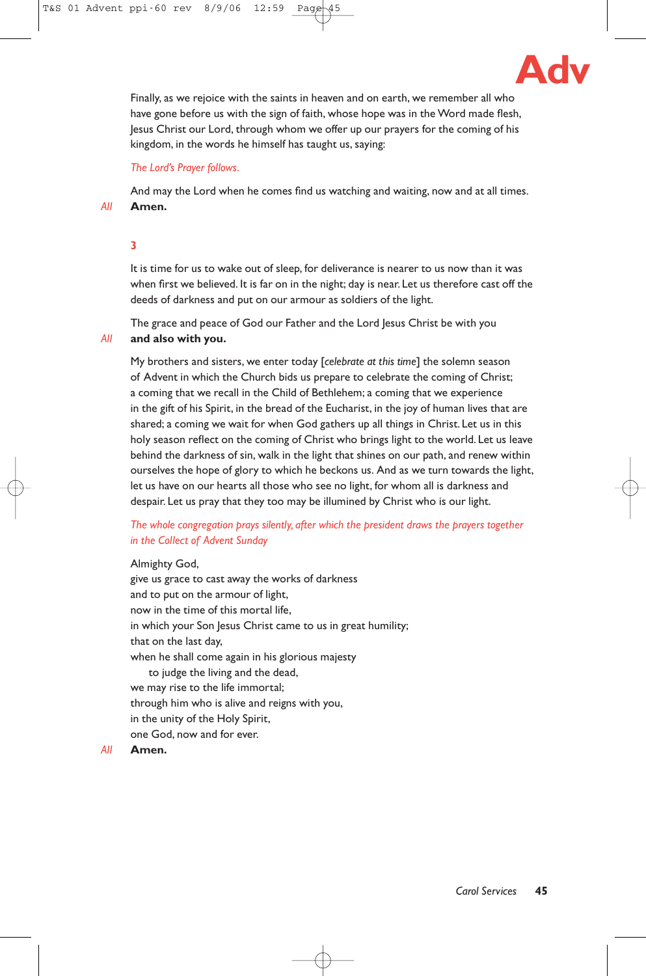

Finally, as we rejoice with the saints in heaven and on earth, we remember all who have gone before us with the sign of faith, whose hope was in the Word made flesh, Jesus Christ our Lord, through whom we offer up our prayers for the coming of his kingdom, in the words he himself has taught us, saying:

#### *The Lord's Prayer follows.*

And may the Lord when he comes find us watching and waiting, now and at all times. *All* **Amen.**

### **3**

It is time for us to wake out of sleep, for deliverance is nearer to us now than it was when first we believed. It is far on in the night; day is near. Let us therefore cast off the deeds of darkness and put on our armour as soldiers of the light.

The grace and peace of God our Father and the Lord Jesus Christ be with you *All* **and also with you.**

My brothers and sisters, we enter today [*celebrate at this time*] the solemn season of Advent in which the Church bids us prepare to celebrate the coming of Christ; a coming that we recall in the Child of Bethlehem; a coming that we experience in the gift of his Spirit, in the bread of the Eucharist, in the joy of human lives that are shared; a coming we wait for when God gathers up all things in Christ. Let us in this holy season reflect on the coming of Christ who brings light to the world. Let us leave behind the darkness of sin, walk in the light that shines on our path, and renew within ourselves the hope of glory to which he beckons us. And as we turn towards the light, let us have on our hearts all those who see no light, for whom all is darkness and despair. Let us pray that they too may be illumined by Christ who is our light.

# *The whole congregation prays silently, after which the president draws the prayers together in the Collect of Advent Sunday*

#### Almighty God,

give us grace to cast away the works of darkness and to put on the armour of light, now in the time of this mortal life, in which your Son Jesus Christ came to us in great humility; that on the last day, when he shall come again in his glorious majesty to judge the living and the dead, we may rise to the life immortal; through him who is alive and reigns with you, in the unity of the Holy Spirit, one God, now and for ever.

## *All* **Amen.**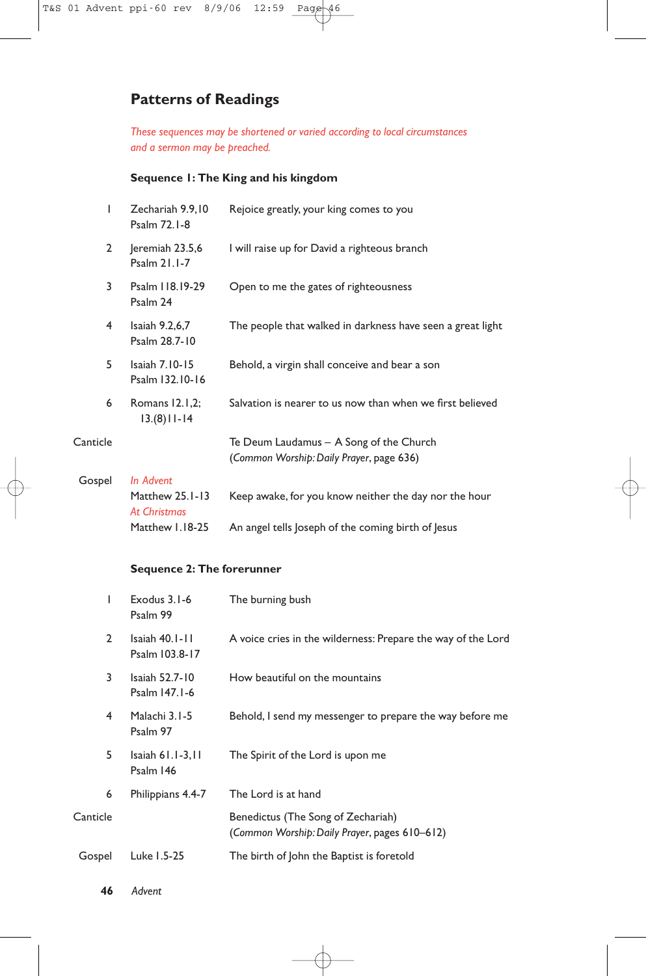# **Patterns of Readings**

*These sequences may be shortened or varied according to local circumstances and a sermon may be preached.*

# **Sequence 1: The King and his kingdom**

| ı        | Zechariah 9.9,10<br>Psalm 72.1-8  | Rejoice greatly, your king comes to you                                             |
|----------|-----------------------------------|-------------------------------------------------------------------------------------|
| 2        | Jeremiah 23.5,6<br>Psalm 21.1-7   | I will raise up for David a righteous branch                                        |
| 3        | Psalm 118.19-29<br>Psalm 24       | Open to me the gates of righteousness                                               |
| 4        | Isaiah 9.2,6,7<br>Psalm 28.7-10   | The people that walked in darkness have seen a great light                          |
| 5        | Isaiah 7.10-15<br>Psalm 132.10-16 | Behold, a virgin shall conceive and bear a son                                      |
| 6        | Romans 12.1,2;<br>$13.(8)11-14$   | Salvation is nearer to us now than when we first believed                           |
| Canticle |                                   | Te Deum Laudamus - A Song of the Church<br>(Common Worship: Daily Prayer, page 636) |
| Gospel   | <b>In Advent</b>                  |                                                                                     |
|          | Matthew 25.1-13<br>At Christmas   | Keep awake, for you know neither the day nor the hour                               |
|          | Matthew 1.18-25                   | An angel tells Joseph of the coming birth of Jesus                                  |

#### **Sequence 2: The forerunner**

| ı              | Exodus 3.1-6<br>Psalm 99             | The burning bush                                                                    |
|----------------|--------------------------------------|-------------------------------------------------------------------------------------|
| $\mathfrak{D}$ | Isaiah $40.1 - 11$<br>Psalm 103.8-17 | A voice cries in the wilderness: Prepare the way of the Lord                        |
| 3              | Isaiah 52.7-10<br>Psalm 147.1-6      | How beautiful on the mountains                                                      |
| 4              | Malachi 3.1-5<br>Psalm 97            | Behold, I send my messenger to prepare the way before me                            |
| 5              | Isaiah $61.1-3.11$<br>Psalm 146      | The Spirit of the Lord is upon me                                                   |
| 6              | Philippians 4.4-7                    | The Lord is at hand                                                                 |
| Canticle       |                                      | Benedictus (The Song of Zechariah)<br>(Common Worship: Daily Prayer, pages 610–612) |
| Gospel         | Luke 1.5-25                          | The birth of John the Baptist is foretold                                           |
| 46             | Advent                               |                                                                                     |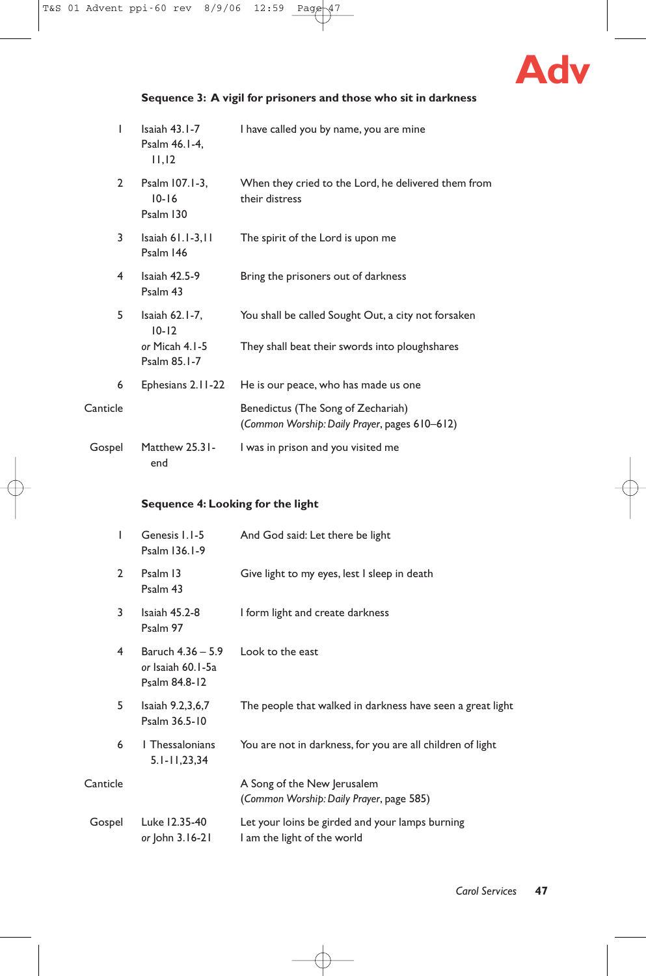

# **Sequence 3: A vigil for prisoners and those who sit in darkness**

| L              | Isaiah 43.1-7<br>Psalm 46.1-4,<br>11,12                 | I have called you by name, you are mine                                                               |
|----------------|---------------------------------------------------------|-------------------------------------------------------------------------------------------------------|
| 2              | Psalm 107.1-3,<br>$10 - 16$<br>Psalm 130                | When they cried to the Lord, he delivered them from<br>their distress                                 |
| 3              | Isaiah $61.1-3,11$<br>Psalm 146                         | The spirit of the Lord is upon me                                                                     |
| 4              | <b>Isaiah 42.5-9</b><br>Psalm 43                        | Bring the prisoners out of darkness                                                                   |
| 5              | Isaiah 62.1-7,<br>$10 - 12$<br>or Micah 4.1-5           | You shall be called Sought Out, a city not forsaken<br>They shall beat their swords into ploughshares |
|                | Psalm 85.1-7                                            |                                                                                                       |
| 6              | Ephesians 2.11-22                                       | He is our peace, who has made us one                                                                  |
| Canticle       |                                                         | Benedictus (The Song of Zechariah)<br>(Common Worship: Daily Prayer, pages 610-612)                   |
| Gospel         | Matthew 25.31-<br>end                                   | I was in prison and you visited me                                                                    |
|                | Sequence 4: Looking for the light                       |                                                                                                       |
| L              | Genesis 1.1-5<br>Psalm 136.1-9                          | And God said: Let there be light                                                                      |
| $\overline{2}$ | Psalm 13<br>Psalm 43                                    | Give light to my eyes, lest I sleep in death                                                          |
| 3              | Isaiah 45.2-8<br>Psalm 97                               | I form light and create darkness                                                                      |
| 4              | Baruch 4.36 - 5.9<br>or Isaiah 60.1-5a<br>Psalm 84.8-12 | Look to the east                                                                                      |
| 5              | Isaiah 9.2,3,6,7<br>Psalm 36.5-10                       | The people that walked in darkness have seen a great light                                            |

6 1 Thessalonians You are not in darkness, for you are all children of light 5.1-11,23,34

| Canticle |                                  | A Song of the New Jerusalem<br>(Common Worship: Daily Prayer, page 585)        |  |
|----------|----------------------------------|--------------------------------------------------------------------------------|--|
| Gospel   | Luke 12.35-40<br>or John 3.16-21 | Let your loins be girded and your lamps burning<br>I am the light of the world |  |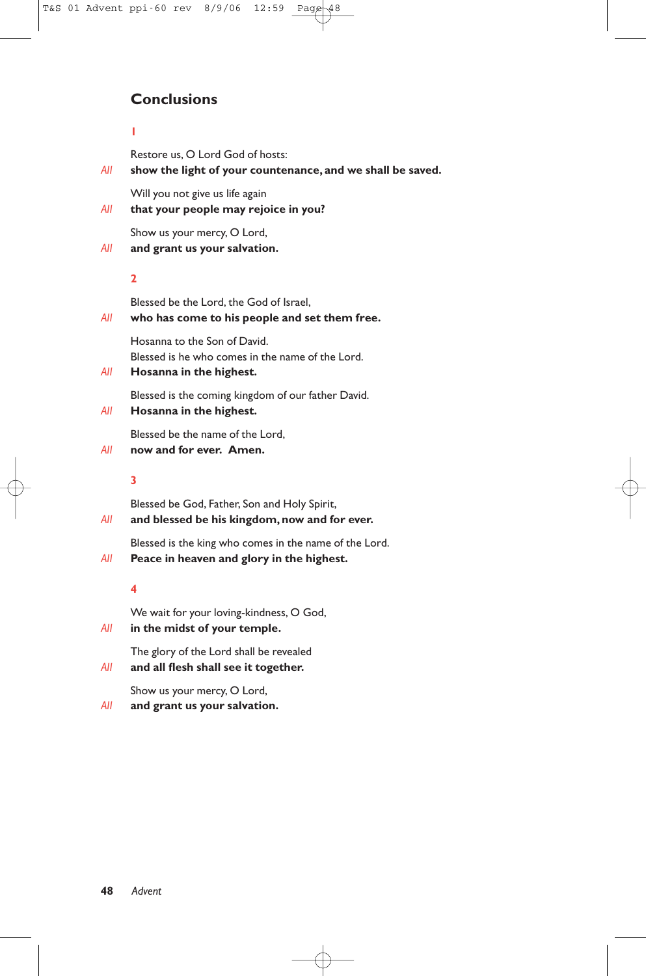# **Conclusions**

## **1**

Restore us, O Lord God of hosts:

*All* **show the light of your countenance, and we shall be saved.**

Will you not give us life again

*All* **that your people may rejoice in you?**

Show us your mercy, O Lord,

*All* **and grant us your salvation.**

# **2**

Blessed be the Lord, the God of Israel,

*All* **who has come to his people and set them free.**

Hosanna to the Son of David. Blessed is he who comes in the name of the Lord.

# *All* **Hosanna in the highest.**

Blessed is the coming kingdom of our father David.

# *All* **Hosanna in the highest.**

Blessed be the name of the Lord,

*All* **now and for ever. Amen.**

# **3**

Blessed be God, Father, Son and Holy Spirit,

*All* **and blessed be his kingdom, now and for ever.**

Blessed is the king who comes in the name of the Lord.

*All* **Peace in heaven and glory in the highest.**

# **4**

We wait for your loving-kindness, O God,

*All* **in the midst of your temple.**

The glory of the Lord shall be revealed

*All* **and all flesh shall see it together.**

Show us your mercy, O Lord,

*All* **and grant us your salvation.**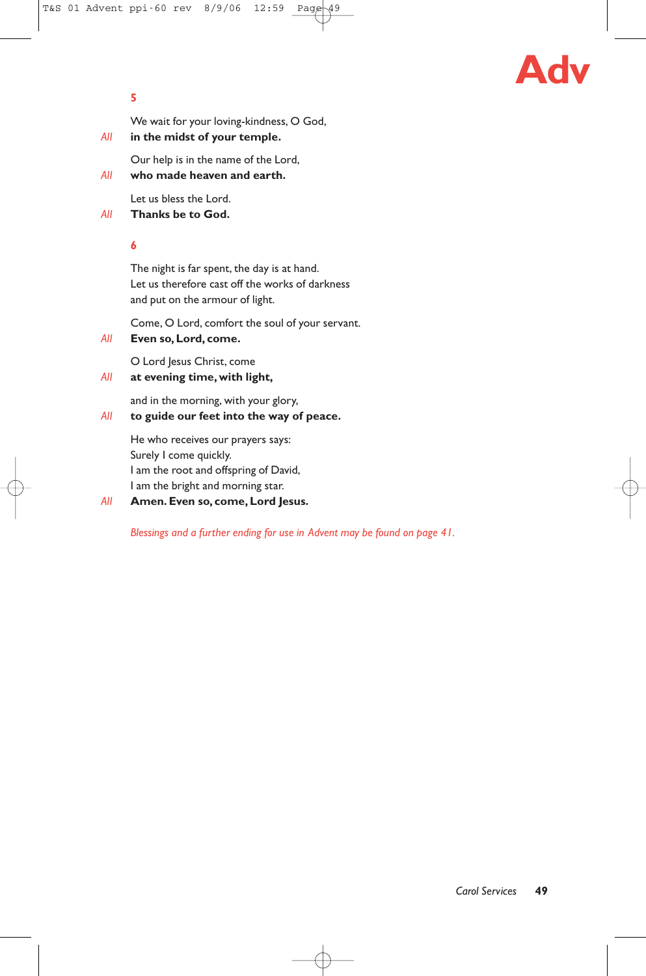

**5**

We wait for your loving-kindness, O God,

*All* **in the midst of your temple.**

Our help is in the name of the Lord,

*All* **who made heaven and earth.**

Let us bless the Lord.

*All* **Thanks be to God.**

# **6**

The night is far spent, the day is at hand. Let us therefore cast off the works of darkness and put on the armour of light.

Come, O Lord, comfort the soul of your servant.

## *All* **Even so, Lord, come.**

O Lord Jesus Christ, come

# *All* **at evening time, with light,**

and in the morning, with your glory,

# *All* **to guide our feet into the way of peace.**

He who receives our prayers says: Surely I come quickly. I am the root and offspring of David, I am the bright and morning star.

# *All* **Amen. Even so, come, Lord Jesus.**

*Blessings and a further ending for use in Advent may be found on page 41.*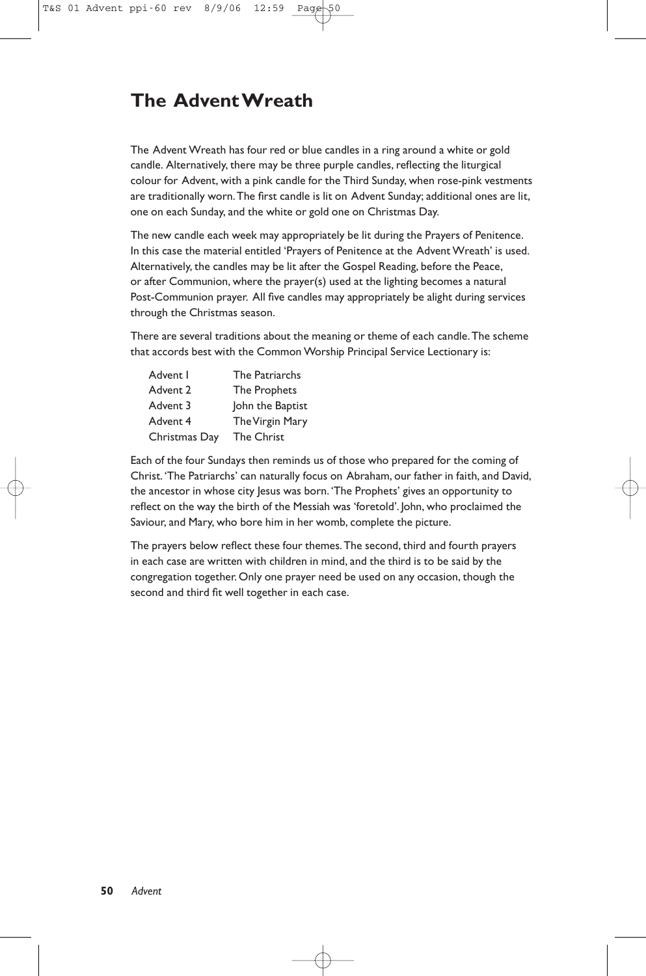# **The Advent Wreath**

The Advent Wreath has four red or blue candles in a ring around a white or gold candle. Alternatively, there may be three purple candles, reflecting the liturgical colour for Advent, with a pink candle for the Third Sunday, when rose-pink vestments are traditionally worn.The first candle is lit on Advent Sunday; additional ones are lit, one on each Sunday, and the white or gold one on Christmas Day.

The new candle each week may appropriately be lit during the Prayers of Penitence. In this case the material entitled 'Prayers of Penitence at the Advent Wreath' is used. Alternatively, the candles may be lit after the Gospel Reading, before the Peace, or after Communion, where the prayer(s) used at the lighting becomes a natural Post-Communion prayer. All five candles may appropriately be alight during services through the Christmas season.

There are several traditions about the meaning or theme of each candle.The scheme that accords best with the Common Worship Principal Service Lectionary is:

| Advent I      | The Patriarchs   |
|---------------|------------------|
| Advent 2      | The Prophets     |
| Advent 3      | John the Baptist |
| Advent 4      | The Virgin Mary  |
| Christmas Day | The Christ       |

Each of the four Sundays then reminds us of those who prepared for the coming of Christ. 'The Patriarchs' can naturally focus on Abraham, our father in faith, and David, the ancestor in whose city Jesus was born. 'The Prophets' gives an opportunity to reflect on the way the birth of the Messiah was 'foretold'. John, who proclaimed the Saviour, and Mary, who bore him in her womb, complete the picture.

The prayers below reflect these four themes.The second, third and fourth prayers in each case are written with children in mind, and the third is to be said by the congregation together. Only one prayer need be used on any occasion, though the second and third fit well together in each case.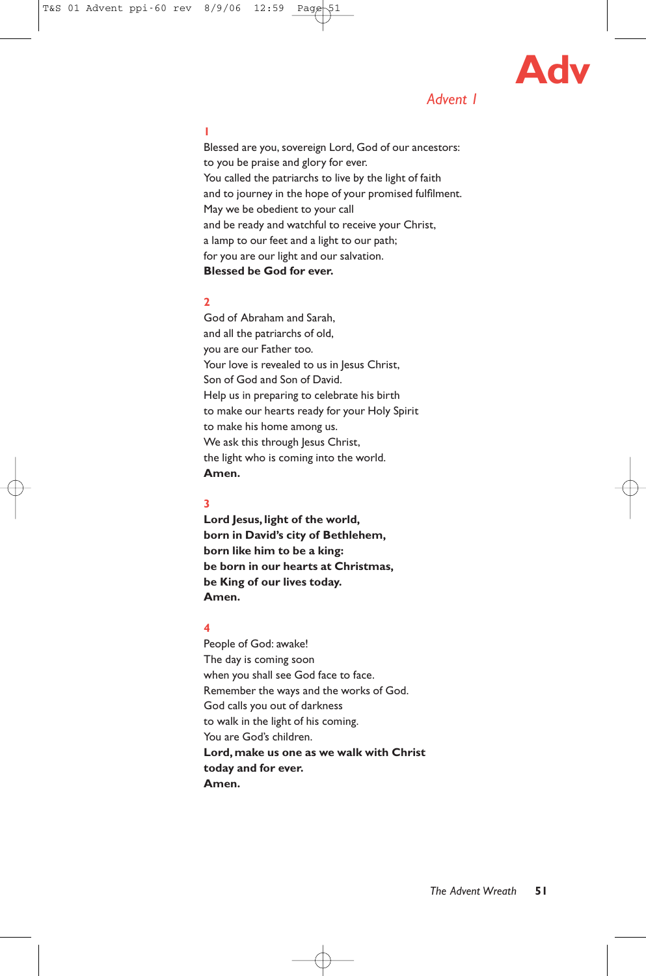

# *Advent 1*

# **1**

Blessed are you, sovereign Lord, God of our ancestors: to you be praise and glory for ever. You called the patriarchs to live by the light of faith and to journey in the hope of your promised fulfilment. May we be obedient to your call and be ready and watchful to receive your Christ, a lamp to our feet and a light to our path; for you are our light and our salvation. **Blessed be God for ever.**

# **2**

God of Abraham and Sarah, and all the patriarchs of old, you are our Father too. Your love is revealed to us in Jesus Christ, Son of God and Son of David. Help us in preparing to celebrate his birth to make our hearts ready for your Holy Spirit to make his home among us. We ask this through Jesus Christ, the light who is coming into the world. **Amen.**

## **3**

**Lord Jesus, light of the world, born in David's city of Bethlehem, born like him to be a king: be born in our hearts at Christmas, be King of our lives today. Amen.**

#### **4**

People of God: awake! The day is coming soon when you shall see God face to face. Remember the ways and the works of God. God calls you out of darkness to walk in the light of his coming. You are God's children. **Lord, make us one as we walk with Christ today and for ever. Amen.**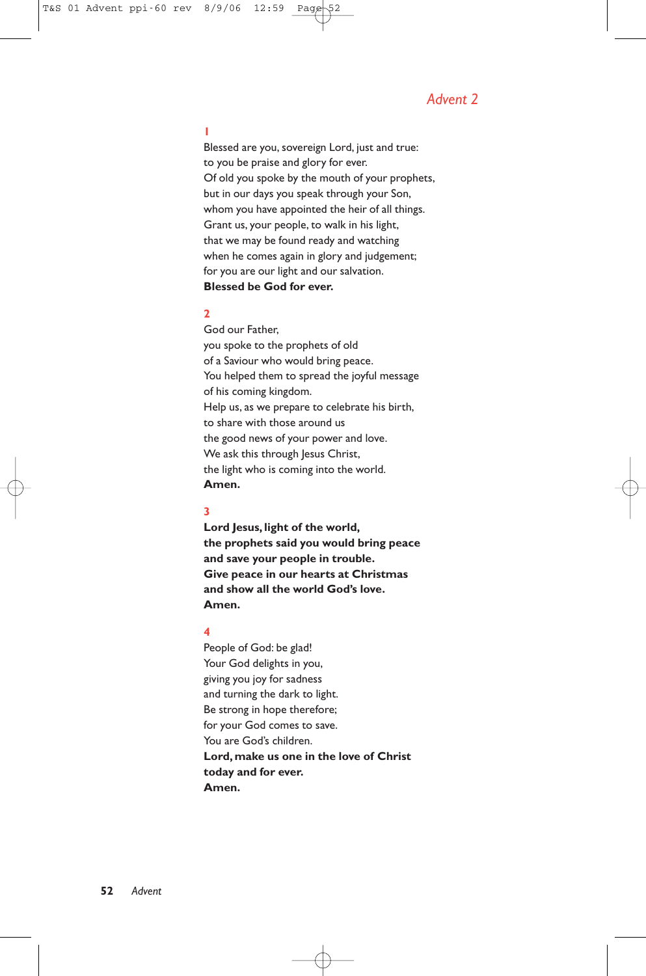## **1**

Blessed are you, sovereign Lord, just and true: to you be praise and glory for ever. Of old you spoke by the mouth of your prophets, but in our days you speak through your Son, whom you have appointed the heir of all things. Grant us, your people, to walk in his light, that we may be found ready and watching when he comes again in glory and judgement; for you are our light and our salvation. **Blessed be God for ever.**

## **2**

God our Father, you spoke to the prophets of old of a Saviour who would bring peace. You helped them to spread the joyful message of his coming kingdom. Help us, as we prepare to celebrate his birth, to share with those around us the good news of your power and love. We ask this through Jesus Christ, the light who is coming into the world. **Amen.**

### **3**

**Lord Jesus, light of the world, the prophets said you would bring peace and save your people in trouble. Give peace in our hearts at Christmas and show all the world God's love. Amen.**

#### **4**

People of God: be glad! Your God delights in you, giving you joy for sadness and turning the dark to light. Be strong in hope therefore; for your God comes to save. You are God's children. **Lord, make us one in the love of Christ today and for ever. Amen.**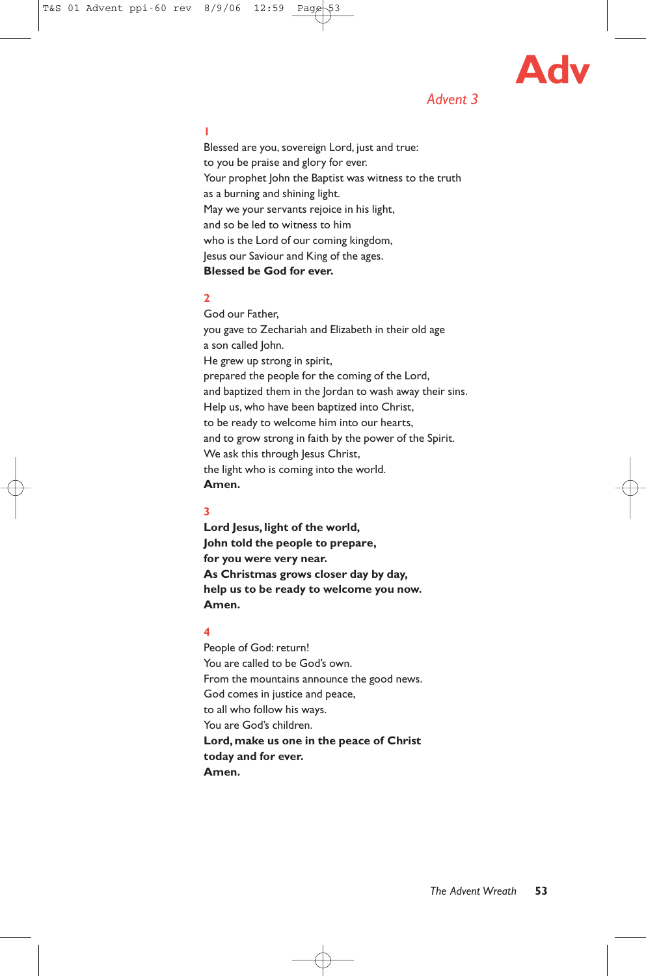

# *Advent 3*

# **1**

Blessed are you, sovereign Lord, just and true: to you be praise and glory for ever. Your prophet John the Baptist was witness to the truth as a burning and shining light. May we your servants rejoice in his light, and so be led to witness to him who is the Lord of our coming kingdom, Jesus our Saviour and King of the ages. **Blessed be God for ever.**

# **2**

God our Father, you gave to Zechariah and Elizabeth in their old age a son called John. He grew up strong in spirit, prepared the people for the coming of the Lord, and baptized them in the Jordan to wash away their sins. Help us, who have been baptized into Christ, to be ready to welcome him into our hearts, and to grow strong in faith by the power of the Spirit. We ask this through Jesus Christ, the light who is coming into the world. **Amen.**

## **3**

**Lord Jesus, light of the world, John told the people to prepare, for you were very near. As Christmas grows closer day by day, help us to be ready to welcome you now. Amen.**

## **4**

People of God: return! You are called to be God's own. From the mountains announce the good news. God comes in justice and peace, to all who follow his ways. You are God's children. **Lord, make us one in the peace of Christ today and for ever. Amen.**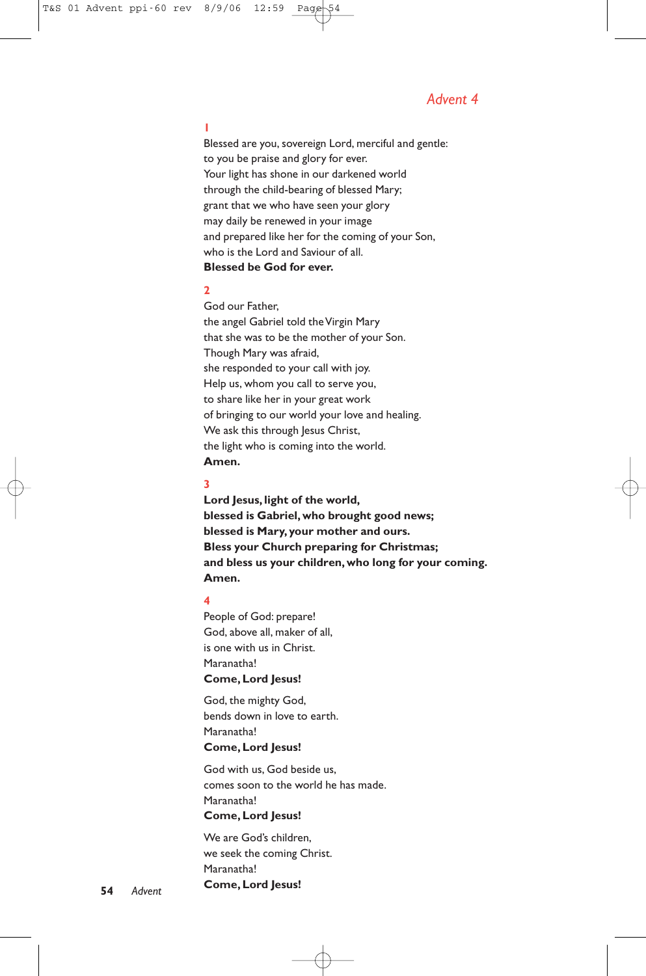# *Advent 4*

#### **1**

Blessed are you, sovereign Lord, merciful and gentle: to you be praise and glory for ever. Your light has shone in our darkened world through the child-bearing of blessed Mary; grant that we who have seen your glory may daily be renewed in your image and prepared like her for the coming of your Son, who is the Lord and Saviour of all. **Blessed be God for ever.**

#### **2**

God our Father, the angel Gabriel told the Virgin Mary that she was to be the mother of your Son. Though Mary was afraid, she responded to your call with joy. Help us, whom you call to serve you, to share like her in your great work of bringing to our world your love and healing. We ask this through Jesus Christ, the light who is coming into the world. **Amen.**

#### **3**

**Lord Jesus, light of the world, blessed is Gabriel,who brought good news; blessed is Mary, your mother and ours. Bless your Church preparing for Christmas; and bless us your children, who long for your coming. Amen.**

## **4**

People of God: prepare! God, above all, maker of all, is one with us in Christ. Maranatha! **Come, Lord Jesus!**

God, the mighty God, bends down in love to earth. Maranatha!

#### **Come, Lord Jesus!**

God with us, God beside us, comes soon to the world he has made. Maranatha!

#### **Come, Lord Jesus!**

We are God's children, we seek the coming Christ. Maranatha! **Come,Lord Jesus!**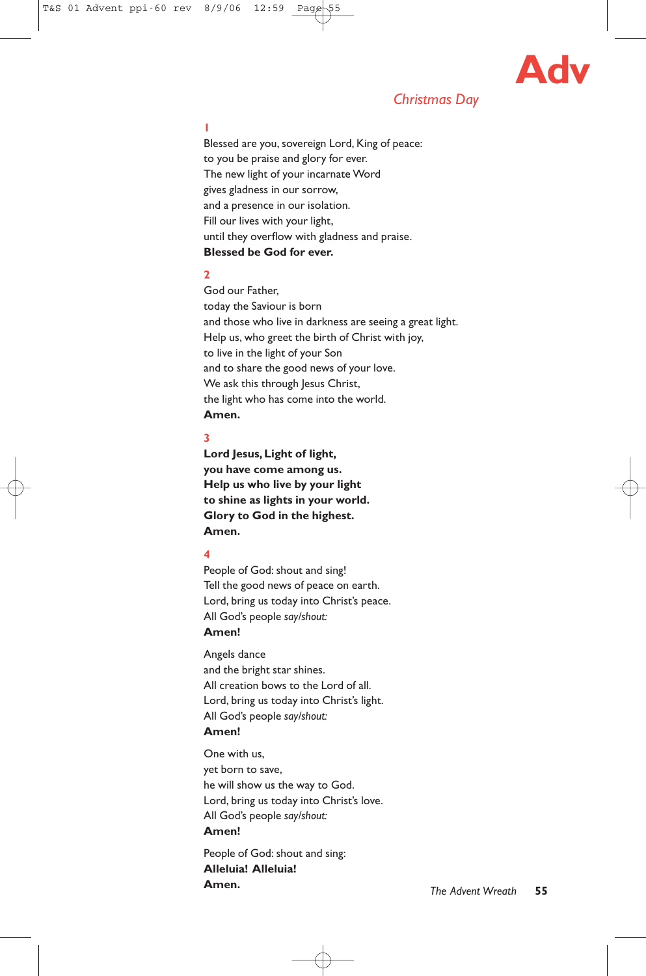# *Christmas Day*

**Adv**

#### **1**

Blessed are you, sovereign Lord, King of peace: to you be praise and glory for ever. The new light of your incarnate Word gives gladness in our sorrow, and a presence in our isolation. Fill our lives with your light, until they overflow with gladness and praise.

# **Blessed be God for ever.**

### **2**

God our Father, today the Saviour is born and those who live in darkness are seeing a great light. Help us, who greet the birth of Christ with joy, to live in the light of your Son and to share the good news of your love. We ask this through Jesus Christ, the light who has come into the world. **Amen.**

#### **3**

**Lord Jesus, Light of light, you have come among us. Help us who live by your light to shine as lights in your world. Glory to God in the highest. Amen.**

#### **4**

People of God: shout and sing! Tell the good news of peace on earth. Lord, bring us today into Christ's peace. All God's people *say/shout:*

# **Amen!**

Angels dance and the bright star shines. All creation bows to the Lord of all. Lord, bring us today into Christ's light. All God's people *say/shout:* **Amen!**

One with us, yet born to save, he will show us the way to God. Lord, bring us today into Christ's love. All God's people *say/shout:* **Amen!**

People of God: shout and sing: **Alleluia! Alleluia! Amen.**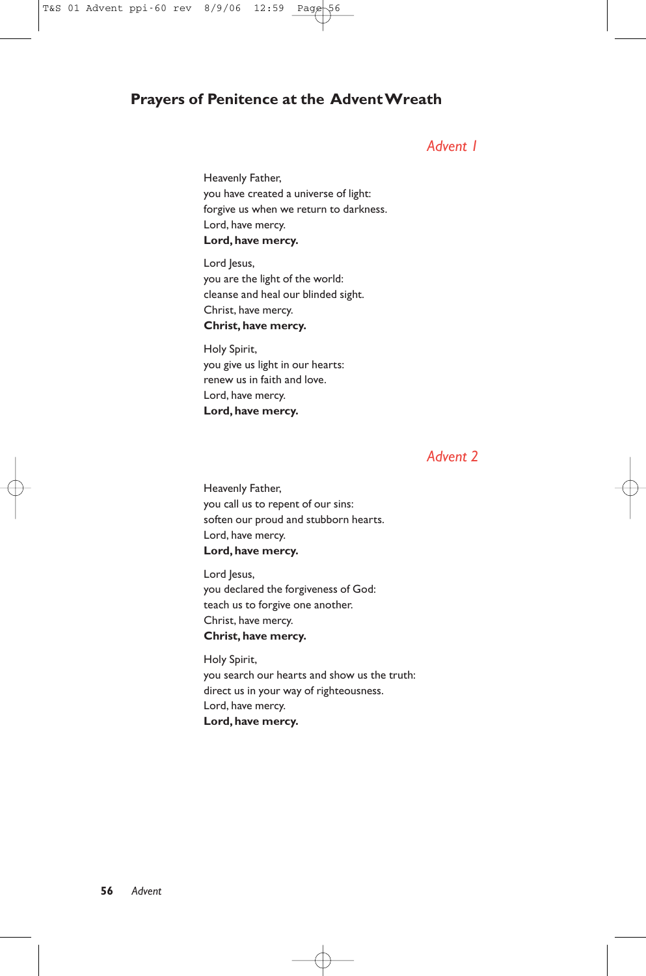# **Prayers of Penitence at the Advent Wreath**

# *Advent 1*

Heavenly Father, you have created a universe of light: forgive us when we return to darkness. Lord, have mercy. **Lord, have mercy.**

Lord Jesus, you are the light of the world: cleanse and heal our blinded sight. Christ, have mercy. **Christ, have mercy.**

Holy Spirit, you give us light in our hearts: renew us in faith and love. Lord, have mercy. **Lord, have mercy.**

# *Advent 2*

Heavenly Father, you call us to repent of our sins: soften our proud and stubborn hearts. Lord, have mercy. **Lord, have mercy.**

Lord Jesus, you declared the forgiveness of God: teach us to forgive one another. Christ, have mercy. **Christ, have mercy.**

Holy Spirit, you search our hearts and show us the truth: direct us in your way of righteousness. Lord, have mercy. **Lord, have mercy.**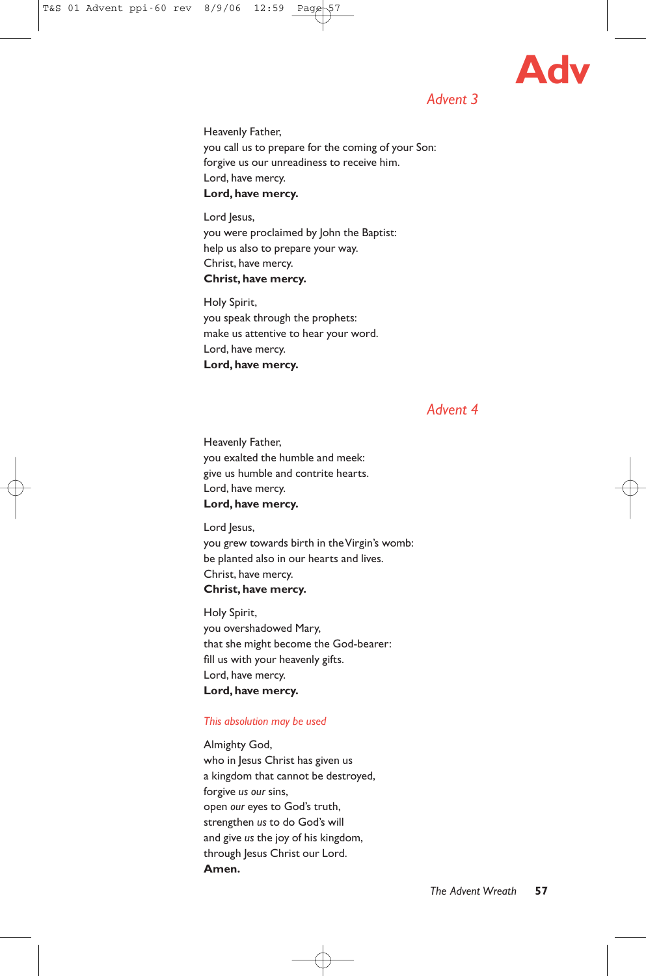



Heavenly Father, you call us to prepare for the coming of your Son: forgive us our unreadiness to receive him. Lord, have mercy. **Lord, have mercy.**

Lord Jesus, you were proclaimed by John the Baptist: help us also to prepare your way. Christ, have mercy. **Christ, have mercy.**

Holy Spirit, you speak through the prophets: make us attentive to hear your word. Lord, have mercy. **Lord, have mercy.**

# *Advent 4*

Heavenly Father, you exalted the humble and meek: give us humble and contrite hearts. Lord, have mercy. **Lord, have mercy.**

Lord Jesus, you grew towards birth in the Virgin's womb: be planted also in our hearts and lives. Christ, have mercy. **Christ, have mercy.**

Holy Spirit, you overshadowed Mary, that she might become the God-bearer: fill us with your heavenly gifts. Lord, have mercy. **Lord, have mercy.**

#### *This absolution may be used*

Almighty God, who in Jesus Christ has given us a kingdom that cannot be destroyed, forgive *us our* sins, open *our* eyes to God's truth, strengthen *us* to do God's will and give *us* the joy of his kingdom, through Jesus Christ our Lord. **Amen.**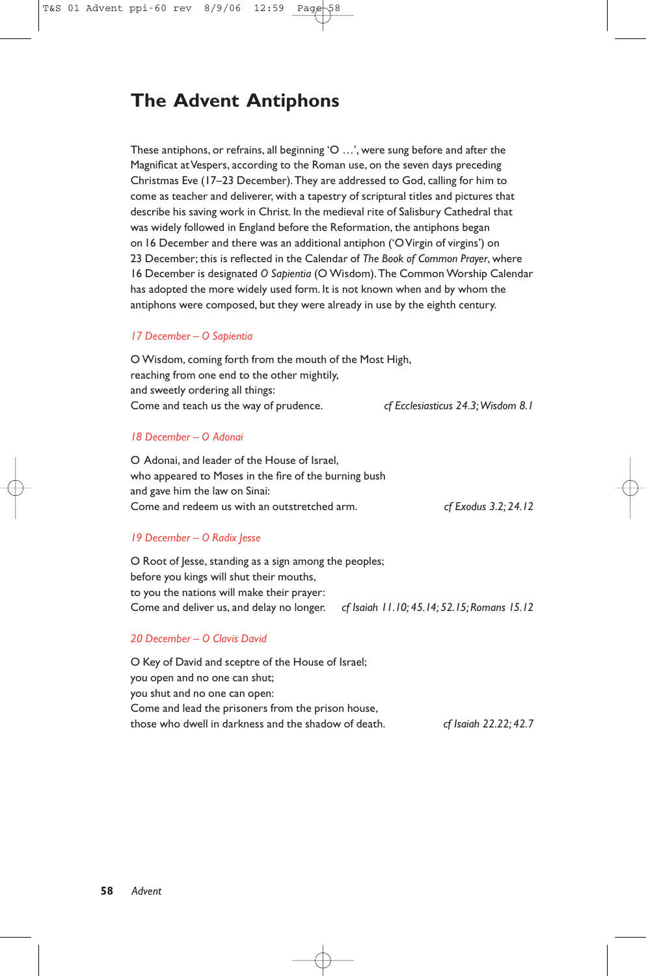# **The Advent Antiphons**

These antiphons, or refrains, all beginning 'O …', were sung before and after the Magnificat at Vespers, according to the Roman use, on the seven days preceding Christmas Eve (17–23 December).They are addressed to God, calling for him to come as teacher and deliverer, with a tapestry of scriptural titles and pictures that describe his saving work in Christ. In the medieval rite of Salisbury Cathedral that was widely followed in England before the Reformation, the antiphons began on 16 December and there was an additional antiphon ('O Virgin of virgins') on 23 December; this is reflected in the Calendar of *The Book of Common Prayer*, where 16 December is designated *O Sapientia* (O Wisdom).The Common Worship Calendar has adopted the more widely used form. It is not known when and by whom the antiphons were composed, but they were already in use by the eighth century.

### *17 December – O Sapientia*

O Wisdom, coming forth from the mouth of the Most High, reaching from one end to the other mightily, and sweetly ordering all things: Come and teach us the way of prudence. *cf Ecclesiasticus 24.3;Wisdom 8.1*

#### *18 December – O Adonai*

O Adonai, and leader of the House of Israel, who appeared to Moses in the fire of the burning bush and gave him the law on Sinai: Come and redeem us with an outstretched arm. *cf Exodus 3.2; 24.12*

## *19 December – O Radix Jesse*

O Root of Jesse, standing as a sign among the peoples; before you kings will shut their mouths, to you the nations will make their prayer: Come and deliver us, and delay no longer. *cf Isaiah 11.10; 45.14; 52.15; Romans 15.12*

## *20 December – O Clavis David*

O Key of David and sceptre of the House of Israel; you open and no one can shut; you shut and no one can open: Come and lead the prisoners from the prison house, those who dwell in darkness and the shadow of death. *cf Isaiah 22.22; 42.7*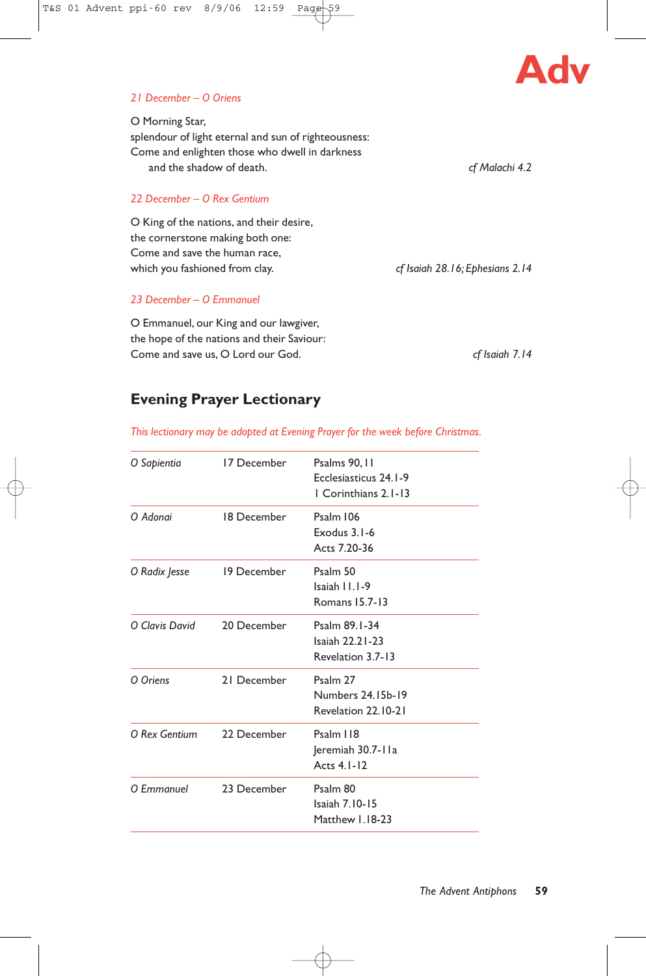

### *21 December – O Oriens*

O Morning Star, splendour of light eternal and sun of righteousness: Come and enlighten those who dwell in darkness and the shadow of death. *cf Malachi 4.2*

#### *22 December – O Rex Gentium*

O King of the nations, and their desire, the cornerstone making both one: Come and save the human race, which you fashioned from clay. *cf Isaiah 28.16; Ephesians 2.14*

#### *23 December – O Emmanuel*

O Emmanuel, our King and our lawgiver, the hope of the nations and their Saviour: Come and save us, O Lord our God. *cf Isaiah 7.14*

# **Evening Prayer Lectionary**

*This lectionary may be adopted at Evening Prayer for the week before Christmas.*

| O Sapientia    | 17 December | Psalms 90, II<br>Ecclesiasticus 24.1-9<br>I Corinthians 2.1-13 |
|----------------|-------------|----------------------------------------------------------------|
| O Adonai       | 18 December | Psalm 106<br>Exodus 3.1-6<br>Acts 7.20-36                      |
| O Radix Jesse  | 19 December | Psalm 50<br>Isaiah II.I-9<br>Romans 15.7-13                    |
| O Clavis David | 20 December | Psalm 89.1-34<br>Isaiah 22.21-23<br>Revelation 3.7-13          |
| O Oriens       | 21 December | Psalm 27<br>Numbers 24.15b-19<br>Revelation 22.10-21           |
| O Rex Gentium  | 22 December | Psalm 118<br>Jeremiah 30.7-11a<br>Acts 4.1-12                  |
| O Emmanuel     | 23 December | Psalm 80<br>Isaiah 7.10-15<br>Matthew 1.18-23                  |
|                |             |                                                                |